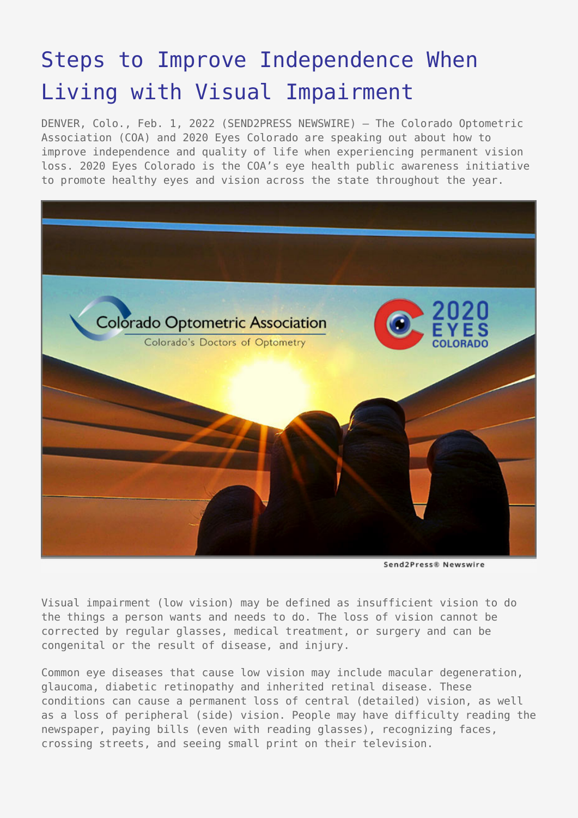# [Steps to Improve Independence When](https://www.send2press.com/wire/steps-to-improve-independence-when-living-with-visual-impairment/) [Living with Visual Impairment](https://www.send2press.com/wire/steps-to-improve-independence-when-living-with-visual-impairment/)

DENVER, Colo., Feb. 1, 2022 (SEND2PRESS NEWSWIRE) — The Colorado Optometric Association (COA) and 2020 Eyes Colorado are speaking out about how to improve independence and quality of life when experiencing permanent vision loss. 2020 Eyes Colorado is the COA's eye health public awareness initiative to promote healthy eyes and vision across the state throughout the year.



Send2Press® Newswire

Visual impairment (low vision) may be defined as insufficient vision to do the things a person wants and needs to do. The loss of vision cannot be corrected by regular glasses, medical treatment, or surgery and can be congenital or the result of disease, and injury.

Common eye diseases that cause low vision may include macular degeneration, glaucoma, diabetic retinopathy and inherited retinal disease. These conditions can cause a permanent loss of central (detailed) vision, as well as a loss of peripheral (side) vision. People may have difficulty reading the newspaper, paying bills (even with reading glasses), recognizing faces, crossing streets, and seeing small print on their television.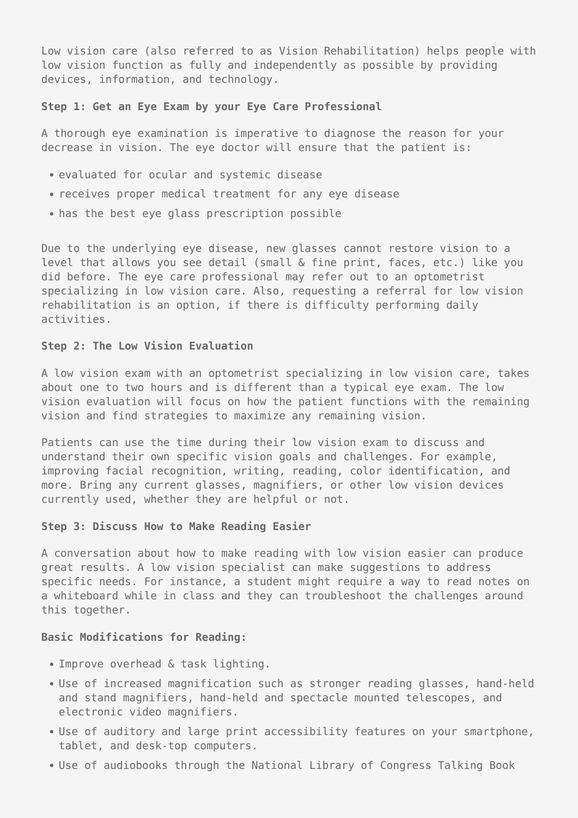Low vision care (also referred to as Vision Rehabilitation) helps people with low vision function as fully and independently as possible by providing devices, information, and technology.

#### **Step 1: Get an Eye Exam by your Eye Care Professional**

A thorough eye examination is imperative to diagnose the reason for your decrease in vision. The eye doctor will ensure that the patient is:

- evaluated for ocular and systemic disease
- receives proper medical treatment for any eye disease
- has the best eye glass prescription possible

Due to the underlying eye disease, new glasses cannot restore vision to a level that allows you see detail (small & fine print, faces, etc.) like you did before. The eye care professional may refer out to an optometrist specializing in low vision care. Also, requesting a referral for low vision rehabilitation is an option, if there is difficulty performing daily activities.

## **Step 2: The Low Vision Evaluation**

A low vision exam with an optometrist specializing in low vision care, takes about one to two hours and is different than a typical eye exam. The low vision evaluation will focus on how the patient functions with the remaining vision and find strategies to maximize any remaining vision.

Patients can use the time during their low vision exam to discuss and understand their own specific vision goals and challenges. For example, improving facial recognition, writing, reading, color identification, and more. Bring any current glasses, magnifiers, or other low vision devices currently used, whether they are helpful or not.

## **Step 3: Discuss How to Make Reading Easier**

A conversation about how to make reading with low vision easier can produce great results. A low vision specialist can make suggestions to address specific needs. For instance, a student might require a way to read notes on a whiteboard while in class and they can troubleshoot the challenges around this together.

## **Basic Modifications for Reading:**

- Improve overhead & task lighting.
- Use of increased magnification such as stronger reading glasses, hand-held and stand magnifiers, hand-held and spectacle mounted telescopes, and electronic video magnifiers.
- Use of auditory and large print accessibility features on your smartphone, tablet, and desk-top computers.
- Use of audiobooks through the National Library of Congress Talking Book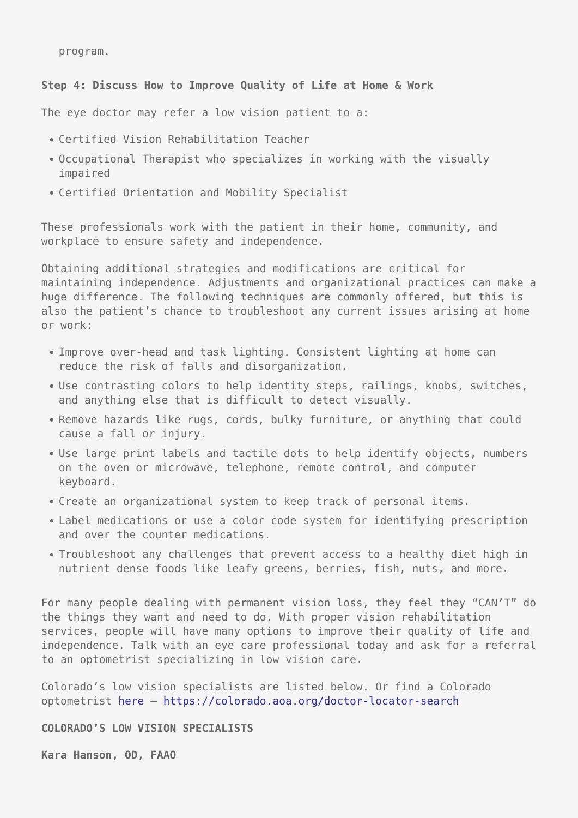program.

# **Step 4: Discuss How to Improve Quality of Life at Home & Work**

The eye doctor may refer a low vision patient to a:

- Certified Vision Rehabilitation Teacher
- Occupational Therapist who specializes in working with the visually impaired
- Certified Orientation and Mobility Specialist

These professionals work with the patient in their home, community, and workplace to ensure safety and independence.

Obtaining additional strategies and modifications are critical for maintaining independence. Adjustments and organizational practices can make a huge difference. The following techniques are commonly offered, but this is also the patient's chance to troubleshoot any current issues arising at home or work:

- Improve over-head and task lighting. Consistent lighting at home can reduce the risk of falls and disorganization.
- Use contrasting colors to help identity steps, railings, knobs, switches, and anything else that is difficult to detect visually.
- Remove hazards like rugs, cords, bulky furniture, or anything that could cause a fall or injury.
- Use large print labels and tactile dots to help identify objects, numbers on the oven or microwave, telephone, remote control, and computer keyboard.
- Create an organizational system to keep track of personal items.
- Label medications or use a color code system for identifying prescription and over the counter medications.
- Troubleshoot any challenges that prevent access to a healthy diet high in nutrient dense foods like leafy greens, berries, fish, nuts, and more.

For many people dealing with permanent vision loss, they feel they "CAN'T" do the things they want and need to do. With proper vision rehabilitation services, people will have many options to improve their quality of life and independence. Talk with an eye care professional today and ask for a referral to an optometrist specializing in low vision care.

Colorado's low vision specialists are listed below. Or find a Colorado optometrist [here](https://colorado.aoa.org/doctor-locator-search) —<https://colorado.aoa.org/doctor-locator-search>

## **COLORADO'S LOW VISION SPECIALISTS**

**Kara Hanson, OD, FAAO**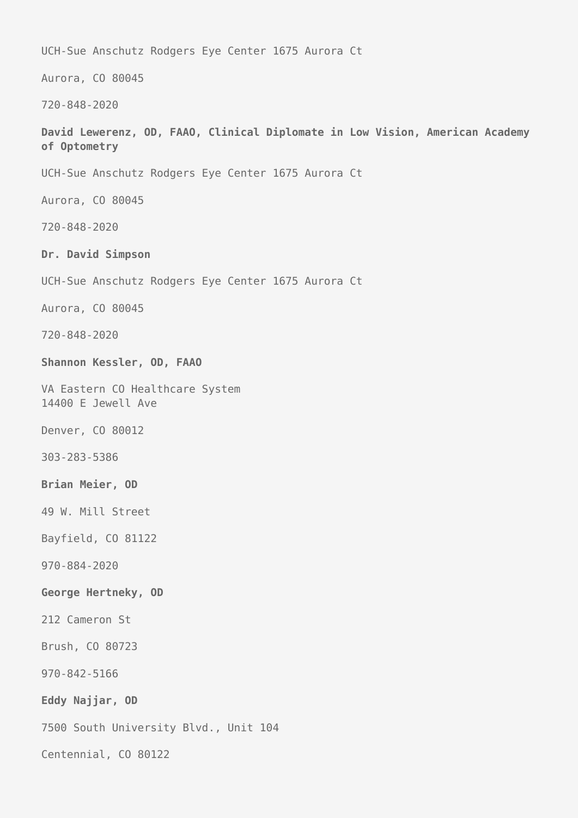UCH-Sue Anschutz Rodgers Eye Center 1675 Aurora Ct

Aurora, CO 80045

720-848-2020

**David Lewerenz, OD, FAAO, Clinical Diplomate in Low Vision, American Academy of Optometry**

UCH-Sue Anschutz Rodgers Eye Center 1675 Aurora Ct

Aurora, CO 80045

720-848-2020

**Dr. David Simpson**

UCH-Sue Anschutz Rodgers Eye Center 1675 Aurora Ct

Aurora, CO 80045

720-848-2020

**Shannon Kessler, OD, FAAO**

VA Eastern CO Healthcare System 14400 E Jewell Ave

Denver, CO 80012

303-283-5386

**Brian Meier, OD**

49 W. Mill Street

Bayfield, CO 81122

970-884-2020

**George Hertneky, OD**

212 Cameron St

Brush, CO 80723

970-842-5166

**Eddy Najjar, OD**

7500 South University Blvd., Unit 104

Centennial, CO 80122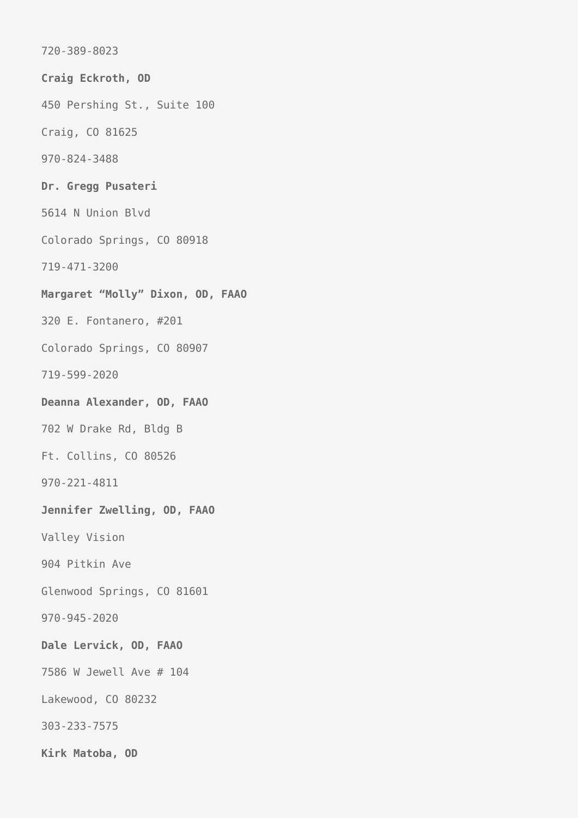720-389-8023 **Craig Eckroth, OD** 450 Pershing St., Suite 100 Craig, CO 81625 970-824-3488 **Dr. Gregg Pusateri** 5614 N Union Blvd Colorado Springs, CO 80918 719-471-3200 **Margaret "Molly" Dixon, OD, FAAO** 320 E. Fontanero, #201 Colorado Springs, CO 80907 719-599-2020 **Deanna Alexander, OD, FAAO** 702 W Drake Rd, Bldg B Ft. Collins, CO 80526 970-221-4811 **Jennifer Zwelling, OD, FAAO** Valley Vision 904 Pitkin Ave Glenwood Springs, CO 81601 970-945-2020 **Dale Lervick, OD, FAAO** 7586 W Jewell Ave # 104 Lakewood, CO 80232 303-233-7575 **Kirk Matoba, OD**